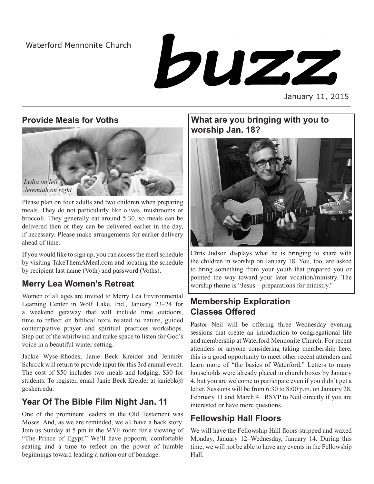Waterford Mennonite Church

buzz

January 11, 2015

#### **Provide Meals for Voths**



Please plan on four adults and two children when preparing meals. They do not particularly like olives, mushrooms or broccoli. They generally eat around 5:30, so meals can be delivered then or they can be delivered earlier in the day, if necessary. Please make arrangements for earlier delivery ahead of time.

If you would like to sign up, you can access the meal schedule by visiting [TakeThemAMeal.com](http://takethemameal.com) and locating the schedule by recipient last name (Voth) and password (Voths).

## **Merry Lea Women's Retreat**

Women of all ages are invited to Merry Lea Environmental Learning Center in Wolf Lake, Ind., January 23–24 for a weekend getaway that will include time outdoors, time to reflect on biblical texts related to nature, guided contemplative prayer and spiritual practices workshops. Step out of the whirlwind and make space to listen for God's voice in a beautiful winter setting.

Jackie Wyse-Rhodes, Janie Beck Kreider and Jennifer Schrock will return to provide input for this 3rd annual event. The cost of \$50 includes two meals and lodging; \$30 for students. To register, email Janie Beck Kreider at janiebk@ goshen.edu.

## **Year Of The Bible Film Night Jan. 11**

One of the prominent leaders in the Old Testament was Moses. And, as we are reminded, we all have a back story. Join us Sunday at 5 pm in the MYF room for a viewing of "The Prince of Egypt." We'll have popcorn, comfortable seating and a time to reflect on the power of humble beginnings toward leading a nation out of bondage.

### **What are you bringing with you to worship Jan. 18?**



Chris Judson displays what he is bringing to share with the children in worship on January 18. You, too, are asked to bring something from your youth that prepared you or pointed the way toward your later vocation/ministry. The worship theme is "Jesus – preparations for ministry."

# **Membership Exploration Classes Offered**

Pastor Neil will be offering three Wednesday evening sessions that create an introduction to congregational life and membership at Waterford Mennonite Church. For recent attenders or anyone considering taking membership here, this is a good opportunity to meet other recent attenders and learn more of "the basics of Waterford." Letters to many households were already placed in church boxes by January 4, but you are welcome to participate even if you didn't get a letter. Sessions will be from 6:30 to 8:00 p.m. on January 28, February 11 and March 4. RSVP to Neil directly if you are interested or have more questions.

## **Fellowship Hall Floors**

We will have the Fellowship Hall floors stripped and waxed Monday, January 12–Wednesday, January 14. During this time, we will not be able to have any events in the Fellowship Hall.